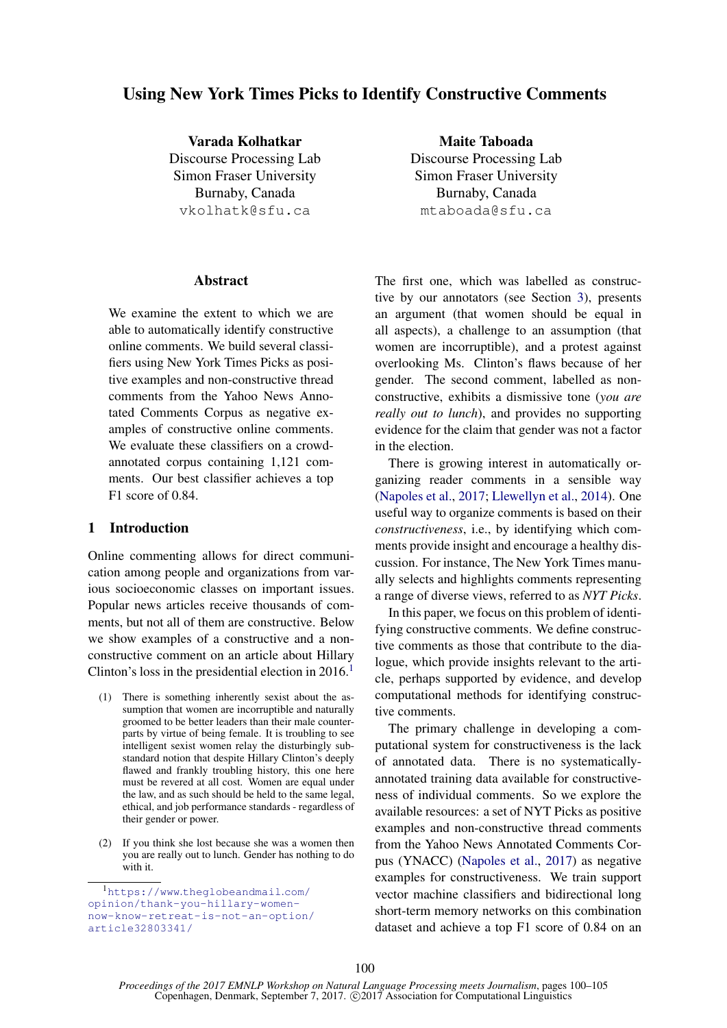# Using New York Times Picks to Identify Constructive Comments

Varada Kolhatkar Discourse Processing Lab Simon Fraser University Burnaby, Canada vkolhatk@sfu.ca

#### **Abstract**

We examine the extent to which we are able to automatically identify constructive online comments. We build several classifiers using New York Times Picks as positive examples and non-constructive thread comments from the Yahoo News Annotated Comments Corpus as negative examples of constructive online comments. We evaluate these classifiers on a crowdannotated corpus containing 1,121 comments. Our best classifier achieves a top F1 score of 0.84.

## 1 Introduction

Online commenting allows for direct communication among people and organizations from various socioeconomic classes on important issues. Popular news articles receive thousands of comments, but not all of them are constructive. Below we show examples of a constructive and a nonconstructive comment on an article about Hillary Clinton's loss in the presidential election in  $2016<sup>1</sup>$ 

- (1) There is something inherently sexist about the assumption that women are incorruptible and naturally groomed to be better leaders than their male counterparts by virtue of being female. It is troubling to see intelligent sexist women relay the disturbingly substandard notion that despite Hillary Clinton's deeply flawed and frankly troubling history, this one here must be revered at all cost. Women are equal under the law, and as such should be held to the same legal, ethical, and job performance standards - regardless of their gender or power.
- (2) If you think she lost because she was a women then you are really out to lunch. Gender has nothing to do with it.

Maite Taboada Discourse Processing Lab Simon Fraser University Burnaby, Canada mtaboada@sfu.ca

The first one, which was labelled as constructive by our annotators (see Section 3), presents an argument (that women should be equal in all aspects), a challenge to an assumption (that women are incorruptible), and a protest against overlooking Ms. Clinton's flaws because of her gender. The second comment, labelled as nonconstructive, exhibits a dismissive tone (*you are really out to lunch*), and provides no supporting evidence for the claim that gender was not a factor in the election.

There is growing interest in automatically organizing reader comments in a sensible way (Napoles et al., 2017; Llewellyn et al., 2014). One useful way to organize comments is based on their *constructiveness*, i.e., by identifying which comments provide insight and encourage a healthy discussion. For instance, The New York Times manually selects and highlights comments representing a range of diverse views, referred to as *NYT Picks*.

In this paper, we focus on this problem of identifying constructive comments. We define constructive comments as those that contribute to the dialogue, which provide insights relevant to the article, perhaps supported by evidence, and develop computational methods for identifying constructive comments.

The primary challenge in developing a computational system for constructiveness is the lack of annotated data. There is no systematicallyannotated training data available for constructiveness of individual comments. So we explore the available resources: a set of NYT Picks as positive examples and non-constructive thread comments from the Yahoo News Annotated Comments Corpus (YNACC) (Napoles et al., 2017) as negative examples for constructiveness. We train support vector machine classifiers and bidirectional long short-term memory networks on this combination dataset and achieve a top F1 score of 0.84 on an

<sup>1</sup>https://www.theglobeandmail.com/ opinion/thank-you-hillary-womennow-know-retreat-is-not-an-option/ article32803341/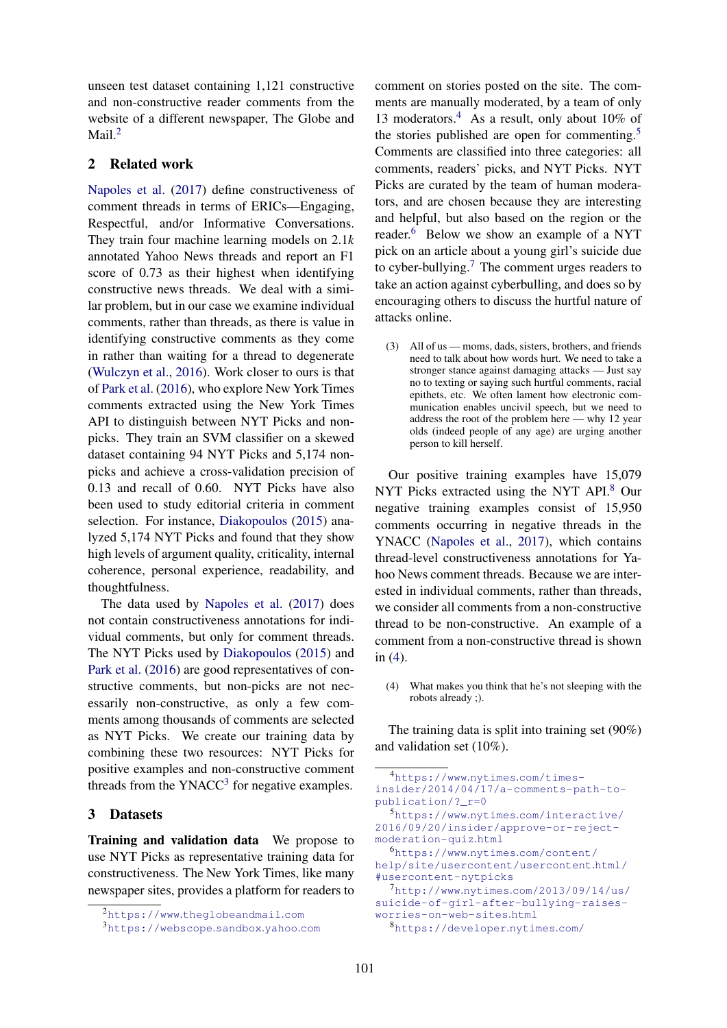unseen test dataset containing 1,121 constructive and non-constructive reader comments from the website of a different newspaper, The Globe and Mail.<sup>2</sup>

#### 2 Related work

Napoles et al. (2017) define constructiveness of comment threads in terms of ERICs—Engaging, Respectful, and/or Informative Conversations. They train four machine learning models on 2.1*k* annotated Yahoo News threads and report an F1 score of 0.73 as their highest when identifying constructive news threads. We deal with a similar problem, but in our case we examine individual comments, rather than threads, as there is value in identifying constructive comments as they come in rather than waiting for a thread to degenerate (Wulczyn et al., 2016). Work closer to ours is that of Park et al. (2016), who explore New York Times comments extracted using the New York Times API to distinguish between NYT Picks and nonpicks. They train an SVM classifier on a skewed dataset containing 94 NYT Picks and 5,174 nonpicks and achieve a cross-validation precision of 0.13 and recall of 0.60. NYT Picks have also been used to study editorial criteria in comment selection. For instance, Diakopoulos (2015) analyzed 5,174 NYT Picks and found that they show high levels of argument quality, criticality, internal coherence, personal experience, readability, and thoughtfulness.

The data used by Napoles et al. (2017) does not contain constructiveness annotations for individual comments, but only for comment threads. The NYT Picks used by Diakopoulos (2015) and Park et al. (2016) are good representatives of constructive comments, but non-picks are not necessarily non-constructive, as only a few comments among thousands of comments are selected as NYT Picks. We create our training data by combining these two resources: NYT Picks for positive examples and non-constructive comment threads from the YNACC<sup>3</sup> for negative examples.

#### 3 Datasets

Training and validation data We propose to use NYT Picks as representative training data for constructiveness. The New York Times, like many newspaper sites, provides a platform for readers to

comment on stories posted on the site. The comments are manually moderated, by a team of only 13 moderators.<sup>4</sup> As a result, only about 10% of the stories published are open for commenting.<sup>5</sup> Comments are classified into three categories: all comments, readers' picks, and NYT Picks. NYT Picks are curated by the team of human moderators, and are chosen because they are interesting and helpful, but also based on the region or the reader.<sup>6</sup> Below we show an example of a NYT pick on an article about a young girl's suicide due to cyber-bullying.<sup>7</sup> The comment urges readers to take an action against cyberbulling, and does so by encouraging others to discuss the hurtful nature of attacks online.

(3) All of us — moms, dads, sisters, brothers, and friends need to talk about how words hurt. We need to take a stronger stance against damaging attacks — Just say no to texting or saying such hurtful comments, racial epithets, etc. We often lament how electronic communication enables uncivil speech, but we need to address the root of the problem here — why 12 year olds (indeed people of any age) are urging another person to kill herself.

Our positive training examples have 15,079 NYT Picks extracted using the NYT API.<sup>8</sup> Our negative training examples consist of 15,950 comments occurring in negative threads in the YNACC (Napoles et al., 2017), which contains thread-level constructiveness annotations for Yahoo News comment threads. Because we are interested in individual comments, rather than threads, we consider all comments from a non-constructive thread to be non-constructive. An example of a comment from a non-constructive thread is shown in (4).

(4) What makes you think that he's not sleeping with the robots already ;).

The training data is split into training set (90%) and validation set (10%).

<sup>2</sup>https://www.theglobeandmail.com

<sup>3</sup>https://webscope.sandbox.yahoo.com

<sup>4</sup>https://www.nytimes.com/timesinsider/2014/04/17/a-comments-path-topublication/?\_r=0

<sup>5</sup>https://www.nytimes.com/interactive/ 2016/09/20/insider/approve-or-rejectmoderation-quiz.html

<sup>6</sup>https://www.nytimes.com/content/ help/site/usercontent/usercontent.html/ #usercontent-nytpicks

<sup>7</sup>http://www.nytimes.com/2013/09/14/us/ suicide-of-girl-after-bullying-raisesworries-on-web-sites.html

<sup>8</sup>https://developer.nytimes.com/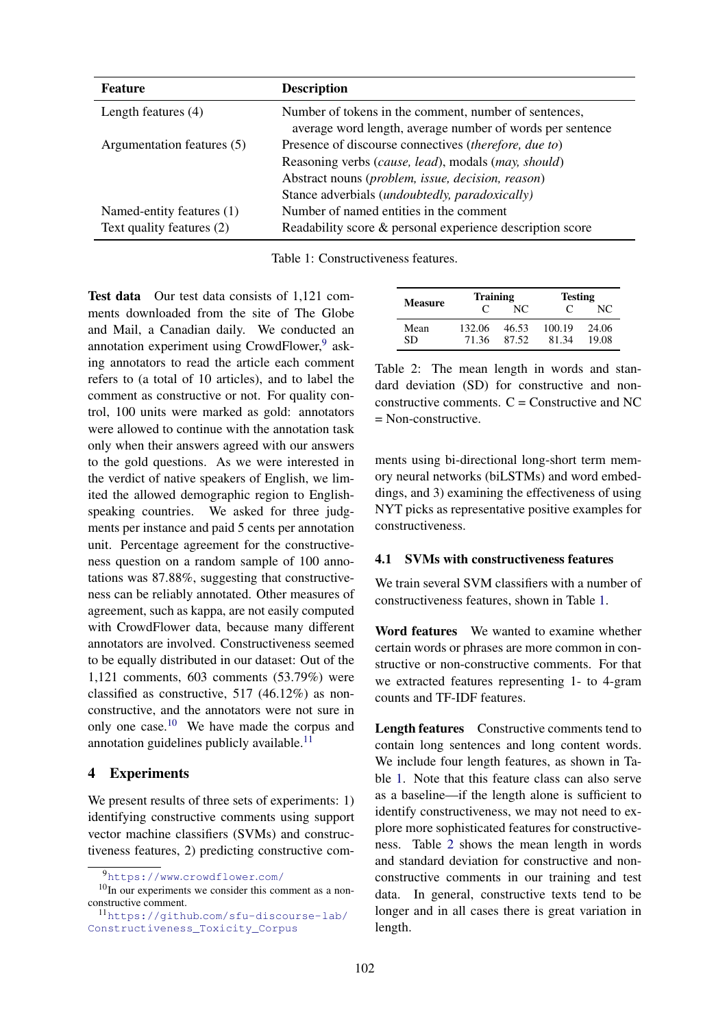| <b>Feature</b>             | <b>Description</b>                                                                                                 |  |  |  |
|----------------------------|--------------------------------------------------------------------------------------------------------------------|--|--|--|
| Length features $(4)$      | Number of tokens in the comment, number of sentences,<br>average word length, average number of words per sentence |  |  |  |
| Argumentation features (5) | Presence of discourse connectives (therefore, due to)                                                              |  |  |  |
|                            | Reasoning verbs (cause, lead), modals (may, should)                                                                |  |  |  |
|                            | Abstract nouns (problem, issue, decision, reason)                                                                  |  |  |  |
|                            | Stance adverbials (undoubtedly, paradoxically)                                                                     |  |  |  |
| Named-entity features (1)  | Number of named entities in the comment                                                                            |  |  |  |
| Text quality features (2)  | Readability score & personal experience description score                                                          |  |  |  |

Table 1: Constructiveness features.

Test data Our test data consists of 1,121 comments downloaded from the site of The Globe and Mail, a Canadian daily. We conducted an annotation experiment using CrowdFlower,<sup>9</sup> asking annotators to read the article each comment refers to (a total of 10 articles), and to label the comment as constructive or not. For quality control, 100 units were marked as gold: annotators were allowed to continue with the annotation task only when their answers agreed with our answers to the gold questions. As we were interested in the verdict of native speakers of English, we limited the allowed demographic region to Englishspeaking countries. We asked for three judgments per instance and paid 5 cents per annotation unit. Percentage agreement for the constructiveness question on a random sample of 100 annotations was 87.88%, suggesting that constructiveness can be reliably annotated. Other measures of agreement, such as kappa, are not easily computed with CrowdFlower data, because many different annotators are involved. Constructiveness seemed to be equally distributed in our dataset: Out of the 1,121 comments, 603 comments (53.79%) were classified as constructive, 517 (46.12%) as nonconstructive, and the annotators were not sure in only one case.<sup>10</sup> We have made the corpus and annotation guidelines publicly available.<sup>11</sup>

#### 4 Experiments

We present results of three sets of experiments: 1) identifying constructive comments using support vector machine classifiers (SVMs) and constructiveness features, 2) predicting constructive com-

| Measure    | <b>Training</b> |                | <b>Testing</b>  |                |  |
|------------|-----------------|----------------|-----------------|----------------|--|
|            | $\mathcal{C}$   | NC             |                 | NC             |  |
| Mean<br>SD | 132.06<br>71.36 | 46.53<br>87.52 | 100.19<br>81.34 | 24.06<br>19.08 |  |

Table 2: The mean length in words and standard deviation (SD) for constructive and nonconstructive comments.  $C =$  Constructive and NC = Non-constructive.

ments using bi-directional long-short term memory neural networks (biLSTMs) and word embeddings, and 3) examining the effectiveness of using NYT picks as representative positive examples for constructiveness.

#### 4.1 SVMs with constructiveness features

We train several SVM classifiers with a number of constructiveness features, shown in Table 1.

Word features We wanted to examine whether certain words or phrases are more common in constructive or non-constructive comments. For that we extracted features representing 1- to 4-gram counts and TF-IDF features.

Length features Constructive comments tend to contain long sentences and long content words. We include four length features, as shown in Table 1. Note that this feature class can also serve as a baseline—if the length alone is sufficient to identify constructiveness, we may not need to explore more sophisticated features for constructiveness. Table 2 shows the mean length in words and standard deviation for constructive and nonconstructive comments in our training and test data. In general, constructive texts tend to be longer and in all cases there is great variation in length.

<sup>9</sup>https://www.crowdflower.com/

 $10$ In our experiments we consider this comment as a nonconstructive comment.

<sup>11</sup>https://github.com/sfu-discourse-lab/ Constructiveness\_Toxicity\_Corpus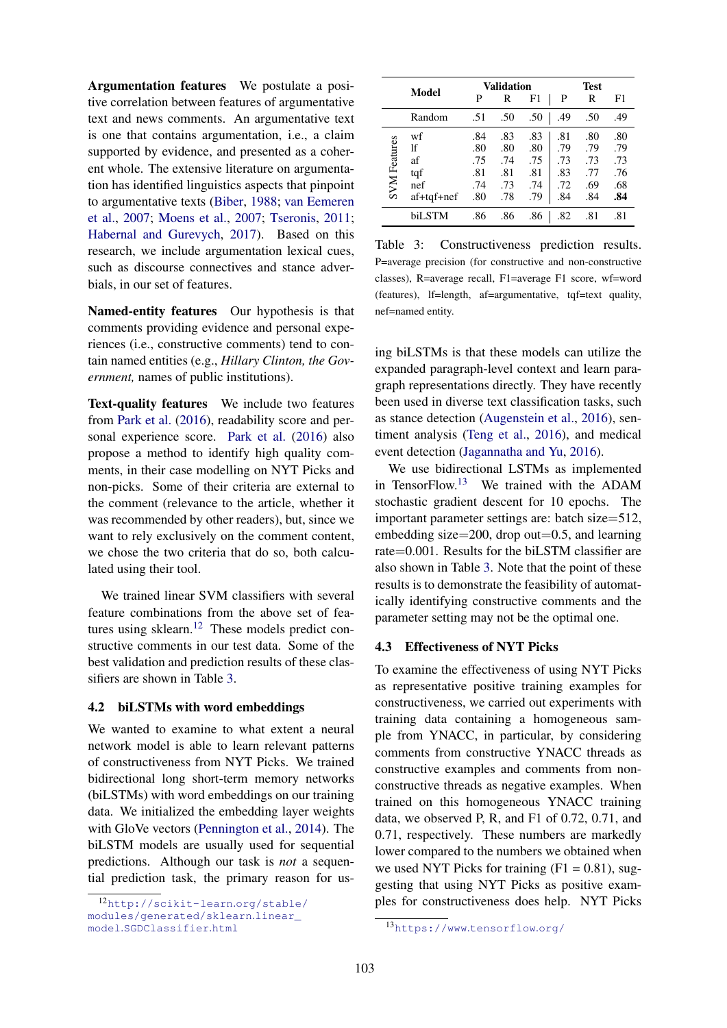Argumentation features We postulate a positive correlation between features of argumentative text and news comments. An argumentative text is one that contains argumentation, i.e., a claim supported by evidence, and presented as a coherent whole. The extensive literature on argumentation has identified linguistics aspects that pinpoint to argumentative texts (Biber, 1988; van Eemeren et al., 2007; Moens et al., 2007; Tseronis, 2011; Habernal and Gurevych, 2017). Based on this research, we include argumentation lexical cues, such as discourse connectives and stance adverbials, in our set of features.

Named-entity features Our hypothesis is that comments providing evidence and personal experiences (i.e., constructive comments) tend to contain named entities (e.g., *Hillary Clinton, the Government,* names of public institutions).

Text-quality features We include two features from Park et al. (2016), readability score and personal experience score. Park et al. (2016) also propose a method to identify high quality comments, in their case modelling on NYT Picks and non-picks. Some of their criteria are external to the comment (relevance to the article, whether it was recommended by other readers), but, since we want to rely exclusively on the comment content, we chose the two criteria that do so, both calculated using their tool.

We trained linear SVM classifiers with several feature combinations from the above set of features using sklearn.<sup>12</sup> These models predict constructive comments in our test data. Some of the best validation and prediction results of these classifiers are shown in Table 3.

#### 4.2 biLSTMs with word embeddings

We wanted to examine to what extent a neural network model is able to learn relevant patterns of constructiveness from NYT Picks. We trained bidirectional long short-term memory networks (biLSTMs) with word embeddings on our training data. We initialized the embedding layer weights with GloVe vectors (Pennington et al., 2014). The biLSTM models are usually used for sequential predictions. Although our task is *not* a sequential prediction task, the primary reason for us-

|                     |            | Validation |     |     | Test |     |     |
|---------------------|------------|------------|-----|-----|------|-----|-----|
| Model               |            | P          | R   | F1  | P    | R   | F1  |
|                     | Random     | .51        | .50 | .50 | .49  | .50 | .49 |
| <b>SVM</b> Features | wf         | .84        | .83 | .83 | .81  | .80 | .80 |
|                     | lf         | .80        | .80 | .80 | .79  | .79 | .79 |
|                     | af         | .75        | .74 | .75 | .73  | .73 | .73 |
|                     | tqf        | .81        | .81 | .81 | .83  | .77 | .76 |
|                     | nef        | .74        | .73 | .74 | .72  | .69 | .68 |
|                     | af+tqf+nef | .80        | .78 | .79 | .84  | .84 | .84 |
|                     | biLSTM     | .86        | .86 | .86 | .82  | .81 | .81 |

Table 3: Constructiveness prediction results. P=average precision (for constructive and non-constructive classes), R=average recall, F1=average F1 score, wf=word (features), lf=length, af=argumentative, tqf=text quality, nef=named entity.

ing biLSTMs is that these models can utilize the expanded paragraph-level context and learn paragraph representations directly. They have recently been used in diverse text classification tasks, such as stance detection (Augenstein et al., 2016), sentiment analysis (Teng et al., 2016), and medical event detection (Jagannatha and Yu, 2016).

We use bidirectional LSTMs as implemented in TensorFlow.<sup>13</sup> We trained with the ADAM stochastic gradient descent for 10 epochs. The important parameter settings are: batch size=512, embedding size=200, drop out=0.5, and learning rate=0.001. Results for the biLSTM classifier are also shown in Table 3. Note that the point of these results is to demonstrate the feasibility of automatically identifying constructive comments and the parameter setting may not be the optimal one.

#### 4.3 Effectiveness of NYT Picks

To examine the effectiveness of using NYT Picks as representative positive training examples for constructiveness, we carried out experiments with training data containing a homogeneous sample from YNACC, in particular, by considering comments from constructive YNACC threads as constructive examples and comments from nonconstructive threads as negative examples. When trained on this homogeneous YNACC training data, we observed P, R, and F1 of 0.72, 0.71, and 0.71, respectively. These numbers are markedly lower compared to the numbers we obtained when we used NYT Picks for training  $(F1 = 0.81)$ , suggesting that using NYT Picks as positive examples for constructiveness does help. NYT Picks

<sup>12</sup>http://scikit-learn.org/stable/ modules/generated/sklearn.linear\_ model.SGDClassifier.html

<sup>13</sup>https://www.tensorflow.org/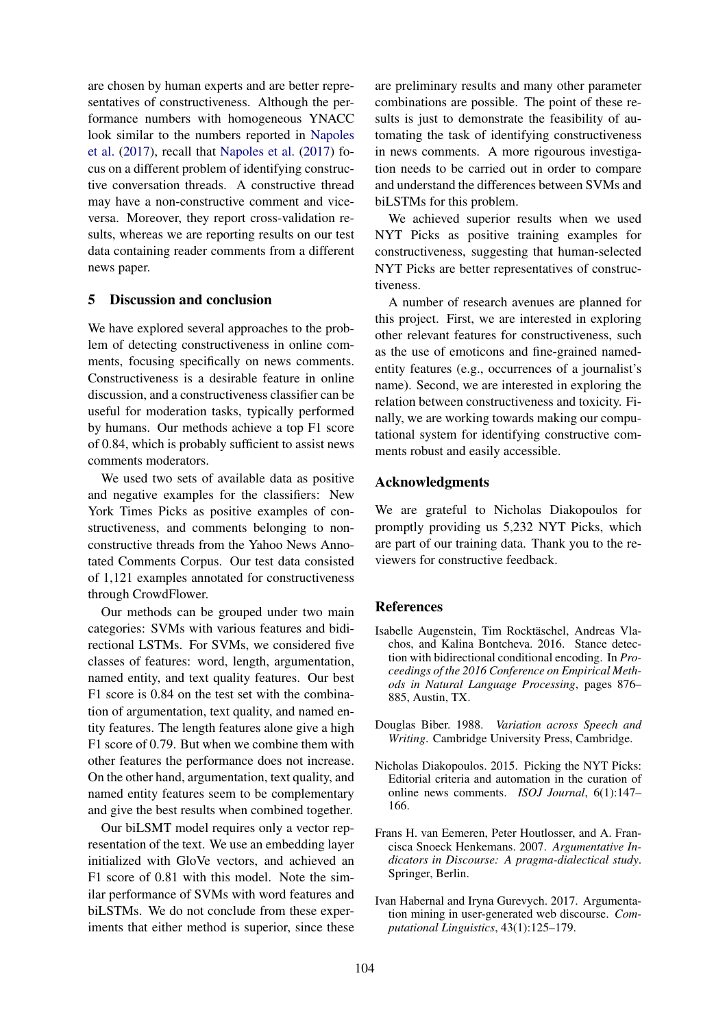are chosen by human experts and are better representatives of constructiveness. Although the performance numbers with homogeneous YNACC look similar to the numbers reported in Napoles et al. (2017), recall that Napoles et al. (2017) focus on a different problem of identifying constructive conversation threads. A constructive thread may have a non-constructive comment and viceversa. Moreover, they report cross-validation results, whereas we are reporting results on our test data containing reader comments from a different news paper.

## 5 Discussion and conclusion

We have explored several approaches to the problem of detecting constructiveness in online comments, focusing specifically on news comments. Constructiveness is a desirable feature in online discussion, and a constructiveness classifier can be useful for moderation tasks, typically performed by humans. Our methods achieve a top F1 score of 0.84, which is probably sufficient to assist news comments moderators.

We used two sets of available data as positive and negative examples for the classifiers: New York Times Picks as positive examples of constructiveness, and comments belonging to nonconstructive threads from the Yahoo News Annotated Comments Corpus. Our test data consisted of 1,121 examples annotated for constructiveness through CrowdFlower.

Our methods can be grouped under two main categories: SVMs with various features and bidirectional LSTMs. For SVMs, we considered five classes of features: word, length, argumentation, named entity, and text quality features. Our best F1 score is 0.84 on the test set with the combination of argumentation, text quality, and named entity features. The length features alone give a high F1 score of 0.79. But when we combine them with other features the performance does not increase. On the other hand, argumentation, text quality, and named entity features seem to be complementary and give the best results when combined together.

Our biLSMT model requires only a vector representation of the text. We use an embedding layer initialized with GloVe vectors, and achieved an F1 score of 0.81 with this model. Note the similar performance of SVMs with word features and biLSTMs. We do not conclude from these experiments that either method is superior, since these

are preliminary results and many other parameter combinations are possible. The point of these results is just to demonstrate the feasibility of automating the task of identifying constructiveness in news comments. A more rigourous investigation needs to be carried out in order to compare and understand the differences between SVMs and biLSTMs for this problem.

We achieved superior results when we used NYT Picks as positive training examples for constructiveness, suggesting that human-selected NYT Picks are better representatives of constructiveness.

A number of research avenues are planned for this project. First, we are interested in exploring other relevant features for constructiveness, such as the use of emoticons and fine-grained namedentity features (e.g., occurrences of a journalist's name). Second, we are interested in exploring the relation between constructiveness and toxicity. Finally, we are working towards making our computational system for identifying constructive comments robust and easily accessible.

## Acknowledgments

We are grateful to Nicholas Diakopoulos for promptly providing us 5,232 NYT Picks, which are part of our training data. Thank you to the reviewers for constructive feedback.

## References

- Isabelle Augenstein, Tim Rocktäschel, Andreas Vlachos, and Kalina Bontcheva. 2016. Stance detection with bidirectional conditional encoding. In *Proceedings of the 2016 Conference on Empirical Methods in Natural Language Processing*, pages 876– 885, Austin, TX.
- Douglas Biber. 1988. *Variation across Speech and Writing*. Cambridge University Press, Cambridge.
- Nicholas Diakopoulos. 2015. Picking the NYT Picks: Editorial criteria and automation in the curation of online news comments. *ISOJ Journal*, 6(1):147– 166.
- Frans H. van Eemeren, Peter Houtlosser, and A. Francisca Snoeck Henkemans. 2007. *Argumentative Indicators in Discourse: A pragma-dialectical study*. Springer, Berlin.
- Ivan Habernal and Iryna Gurevych. 2017. Argumentation mining in user-generated web discourse. *Computational Linguistics*, 43(1):125–179.